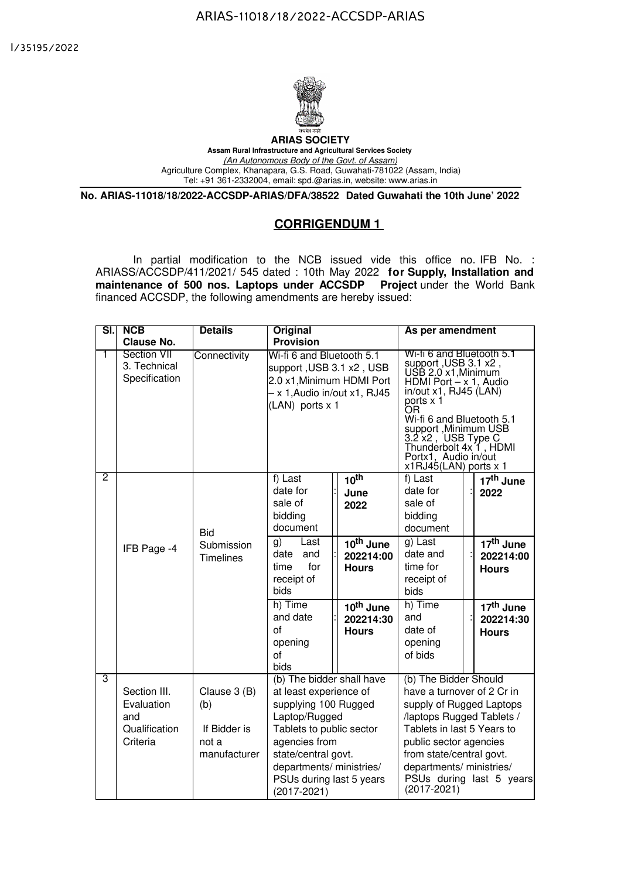

**ARIAS SOCIETY Assam Rural Infrastructure and Agricultural Services Society** *(An Autonomous Body of the Govt. of Assam)* Agriculture Complex, Khanapara, G.S. Road, Guwahati-781022 (Assam, India) Tel: +91 361-2332004, email: spd.@arias.in, website: www.arias.in

**No. ARIAS-11018/18/2022-ACCSDP-ARIAS/DFA/38522 Dated Guwahati the 10th June' 2022**

## **CORRIGENDUM 1**

In partial modification to the NCB issued vide this office no. IFB No. : ARIASS/ACCSDP/411/2021/ 545 dated : 10th May 2022 **for Supply, Installation and maintenance of 500 nos. Laptops under ACCSDP Project** under the World Bank financed ACCSDP, the following amendments are hereby issued:

| SI.J | <b>NCB</b>                                                        | <b>Details</b>                                               | <b>Original</b>                                                                                                                                                                                                                         |                                                                 | As per amendment                                                                                                                                                                                                                                                                                           |                                                    |
|------|-------------------------------------------------------------------|--------------------------------------------------------------|-----------------------------------------------------------------------------------------------------------------------------------------------------------------------------------------------------------------------------------------|-----------------------------------------------------------------|------------------------------------------------------------------------------------------------------------------------------------------------------------------------------------------------------------------------------------------------------------------------------------------------------------|----------------------------------------------------|
| 1    | <b>Clause No.</b><br>Section VII<br>3. Technical<br>Specification | Connectivity                                                 | <b>Provision</b><br>Wi-fi 6 and Bluetooth 5.1<br>support, USB 3.1 x2, USB<br>2.0 x1, Minimum HDMI Port<br>- x 1, Audio in/out x1, RJ45<br>(LAN) ports x 1                                                                               |                                                                 | Wi-fi 6 and Bluetooth 5.1<br>support, USB 3.1 x2,<br>USB 2.0 x1, Minimum<br>HDMI Port $-x$ 1, Audio<br>in/out x1, RJ45 (LAN)<br>ports x 1<br>'nО<br>Wi-fi 6 and Bluetooth 5.1<br>support, Minimum USB<br>3.2 x2, USB Type C<br>Thunderbolt 4x 1, HDMI<br>Portx1, Audio in/out<br>$x1RJ45(LAN)$ ports $x 1$ |                                                    |
| 2    |                                                                   | <b>Bid</b>                                                   | f) Last<br>date for<br>sale of<br>bidding<br>document                                                                                                                                                                                   | 10 <sup>th</sup><br>June<br>2022                                | f) Last<br>date for<br>sale of<br>bidding<br>document                                                                                                                                                                                                                                                      | 17 <sup>th</sup> June<br>2022                      |
|      | IFB Page -4                                                       | Submission<br>Timelines                                      | Last<br>g)<br>date<br>and<br>for<br>time<br>receipt of<br>bids                                                                                                                                                                          | $\overline{10}$ <sup>th</sup> June<br>202214:00<br><b>Hours</b> | g) Last<br>date and<br>time for<br>receipt of<br>bids                                                                                                                                                                                                                                                      | 17 <sup>th</sup> June<br>202214:00<br><b>Hours</b> |
|      |                                                                   |                                                              | h) Time<br>and date<br>of<br>opening<br>of<br>bids                                                                                                                                                                                      | 10th June<br>202214:30<br><b>Hours</b>                          | h) Time<br>and<br>date of<br>opening<br>of bids                                                                                                                                                                                                                                                            | 17 <sup>th</sup> June<br>202214:30<br><b>Hours</b> |
| 3    | Section III.<br>Evaluation<br>and<br>Qualification<br>Criteria    | Clause 3 (B)<br>(b)<br>If Bidder is<br>not a<br>manufacturer | (b) The bidder shall have<br>at least experience of<br>supplying 100 Rugged<br>Laptop/Rugged<br>Tablets to public sector<br>agencies from<br>state/central govt.<br>departments/ ministries/<br>PSUs during last 5 years<br>(2017-2021) |                                                                 | (b) The Bidder Should<br>have a turnover of 2 Cr in<br>supply of Rugged Laptops<br>/laptops Rugged Tablets /<br>Tablets in last 5 Years to<br>public sector agencies<br>from state/central govt.<br>departments/ ministries/<br>PSUs during last 5 years<br>$(2017 - 2021)$                                |                                                    |